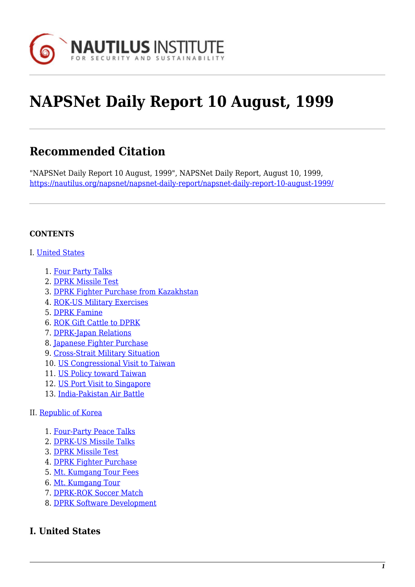

# **NAPSNet Daily Report 10 August, 1999**

# **Recommended Citation**

"NAPSNet Daily Report 10 August, 1999", NAPSNet Daily Report, August 10, 1999, <https://nautilus.org/napsnet/napsnet-daily-report/napsnet-daily-report-10-august-1999/>

#### **CONTENTS**

#### I. [United States](#page-0-0)

- 1. [Four Party Talks](#page-0-1)
- 2. [DPRK Missile Test](#page-1-0)
- 3. [DPRK Fighter Purchase from Kazakhstan](#page-1-1)
- 4. [ROK-US Military Exercises](#page-2-0)
- 5. [DPRK Famine](#page-2-1)
- 6. [ROK Gift Cattle to DPRK](#page-2-2)
- 7. [DPRK-Japan Relations](#page-3-0)
- 8. [Japanese Fighter Purchase](#page-3-1)
- 9. [Cross-Strait Military Situation](#page-3-2)
- 10. [US Congressional Visit to Taiwan](#page-4-0)
- 11. [US Policy toward Taiwan](#page-5-0)
- 12. [US Port Visit to Singapore](#page-5-1)
- 13. [India-Pakistan Air Battle](#page-5-2)

#### II. [Republic of Korea](#page-5-3)

- 1. [Four-Party Peace Talks](#page-5-4)
- 2. [DPRK-US Missile Talks](#page-6-0)
- 3. [DPRK Missile Test](#page-6-1)
- 4. [DPRK Fighter Purchase](#page-6-2)
- 5. [Mt. Kumgang Tour Fees](#page-7-0)
- 6. [Mt. Kumgang Tour](#page-7-1)
- 7. [DPRK-ROK Soccer Match](#page-7-2)
- 8. [DPRK Software Development](#page-8-0)

# <span id="page-0-1"></span><span id="page-0-0"></span>**I. United States**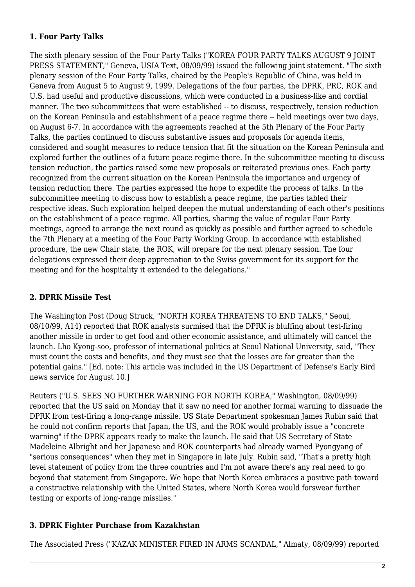#### **1. Four Party Talks**

The sixth plenary session of the Four Party Talks ("KOREA FOUR PARTY TALKS AUGUST 9 JOINT PRESS STATEMENT," Geneva, USIA Text, 08/09/99) issued the following joint statement. "The sixth plenary session of the Four Party Talks, chaired by the People's Republic of China, was held in Geneva from August 5 to August 9, 1999. Delegations of the four parties, the DPRK, PRC, ROK and U.S. had useful and productive discussions, which were conducted in a business-like and cordial manner. The two subcommittees that were established -- to discuss, respectively, tension reduction on the Korean Peninsula and establishment of a peace regime there -- held meetings over two days, on August 6-7. In accordance with the agreements reached at the 5th Plenary of the Four Party Talks, the parties continued to discuss substantive issues and proposals for agenda items, considered and sought measures to reduce tension that fit the situation on the Korean Peninsula and explored further the outlines of a future peace regime there. In the subcommittee meeting to discuss tension reduction, the parties raised some new proposals or reiterated previous ones. Each party recognized from the current situation on the Korean Peninsula the importance and urgency of tension reduction there. The parties expressed the hope to expedite the process of talks. In the subcommittee meeting to discuss how to establish a peace regime, the parties tabled their respective ideas. Such exploration helped deepen the mutual understanding of each other's positions on the establishment of a peace regime. All parties, sharing the value of regular Four Party meetings, agreed to arrange the next round as quickly as possible and further agreed to schedule the 7th Plenary at a meeting of the Four Party Working Group. In accordance with established procedure, the new Chair state, the ROK, will prepare for the next plenary session. The four delegations expressed their deep appreciation to the Swiss government for its support for the meeting and for the hospitality it extended to the delegations."

# <span id="page-1-0"></span>**2. DPRK Missile Test**

The Washington Post (Doug Struck, "NORTH KOREA THREATENS TO END TALKS," Seoul, 08/10/99, A14) reported that ROK analysts surmised that the DPRK is bluffing about test-firing another missile in order to get food and other economic assistance, and ultimately will cancel the launch. Lho Kyong-soo, professor of international politics at Seoul National University, said, "They must count the costs and benefits, and they must see that the losses are far greater than the potential gains." [Ed. note: This article was included in the US Department of Defense's Early Bird news service for August 10.]

Reuters ("U.S. SEES NO FURTHER WARNING FOR NORTH KOREA," Washington, 08/09/99) reported that the US said on Monday that it saw no need for another formal warning to dissuade the DPRK from test-firing a long-range missile. US State Department spokesman James Rubin said that he could not confirm reports that Japan, the US, and the ROK would probably issue a "concrete warning" if the DPRK appears ready to make the launch. He said that US Secretary of State Madeleine Albright and her Japanese and ROK counterparts had already warned Pyongyang of "serious consequences" when they met in Singapore in late July. Rubin said, "That's a pretty high level statement of policy from the three countries and I'm not aware there's any real need to go beyond that statement from Singapore. We hope that North Korea embraces a positive path toward a constructive relationship with the United States, where North Korea would forswear further testing or exports of long-range missiles."

# <span id="page-1-1"></span>**3. DPRK Fighter Purchase from Kazakhstan**

The Associated Press ("KAZAK MINISTER FIRED IN ARMS SCANDAL," Almaty, 08/09/99) reported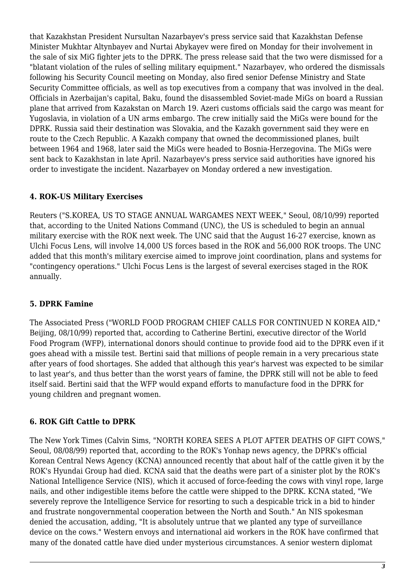that Kazakhstan President Nursultan Nazarbayev's press service said that Kazakhstan Defense Minister Mukhtar Altynbayev and Nurtai Abykayev were fired on Monday for their involvement in the sale of six MiG fighter jets to the DPRK. The press release said that the two were dismissed for a "blatant violation of the rules of selling military equipment." Nazarbayev, who ordered the dismissals following his Security Council meeting on Monday, also fired senior Defense Ministry and State Security Committee officials, as well as top executives from a company that was involved in the deal. Officials in Azerbaijan's capital, Baku, found the disassembled Soviet-made MiGs on board a Russian plane that arrived from Kazakstan on March 19. Azeri customs officials said the cargo was meant for Yugoslavia, in violation of a UN arms embargo. The crew initially said the MiGs were bound for the DPRK. Russia said their destination was Slovakia, and the Kazakh government said they were en route to the Czech Republic. A Kazakh company that owned the decommissioned planes, built between 1964 and 1968, later said the MiGs were headed to Bosnia-Herzegovina. The MiGs were sent back to Kazakhstan in late April. Nazarbayev's press service said authorities have ignored his order to investigate the incident. Nazarbayev on Monday ordered a new investigation.

# <span id="page-2-0"></span>**4. ROK-US Military Exercises**

Reuters ("S.KOREA, US TO STAGE ANNUAL WARGAMES NEXT WEEK," Seoul, 08/10/99) reported that, according to the United Nations Command (UNC), the US is scheduled to begin an annual military exercise with the ROK next week. The UNC said that the August 16-27 exercise, known as Ulchi Focus Lens, will involve 14,000 US forces based in the ROK and 56,000 ROK troops. The UNC added that this month's military exercise aimed to improve joint coordination, plans and systems for "contingency operations." Ulchi Focus Lens is the largest of several exercises staged in the ROK annually.

# <span id="page-2-1"></span>**5. DPRK Famine**

The Associated Press ("WORLD FOOD PROGRAM CHIEF CALLS FOR CONTINUED N KOREA AID," Beijing, 08/10/99) reported that, according to Catherine Bertini, executive director of the World Food Program (WFP), international donors should continue to provide food aid to the DPRK even if it goes ahead with a missile test. Bertini said that millions of people remain in a very precarious state after years of food shortages. She added that although this year's harvest was expected to be similar to last year's, and thus better than the worst years of famine, the DPRK still will not be able to feed itself said. Bertini said that the WFP would expand efforts to manufacture food in the DPRK for young children and pregnant women.

# <span id="page-2-2"></span>**6. ROK Gift Cattle to DPRK**

The New York Times (Calvin Sims, "NORTH KOREA SEES A PLOT AFTER DEATHS OF GIFT COWS," Seoul, 08/08/99) reported that, according to the ROK's Yonhap news agency, the DPRK's official Korean Central News Agency (KCNA) announced recently that about half of the cattle given it by the ROK's Hyundai Group had died. KCNA said that the deaths were part of a sinister plot by the ROK's National Intelligence Service (NIS), which it accused of force-feeding the cows with vinyl rope, large nails, and other indigestible items before the cattle were shipped to the DPRK. KCNA stated, "We severely reprove the Intelligence Service for resorting to such a despicable trick in a bid to hinder and frustrate nongovernmental cooperation between the North and South." An NIS spokesman denied the accusation, adding, "It is absolutely untrue that we planted any type of surveillance device on the cows." Western envoys and international aid workers in the ROK have confirmed that many of the donated cattle have died under mysterious circumstances. A senior western diplomat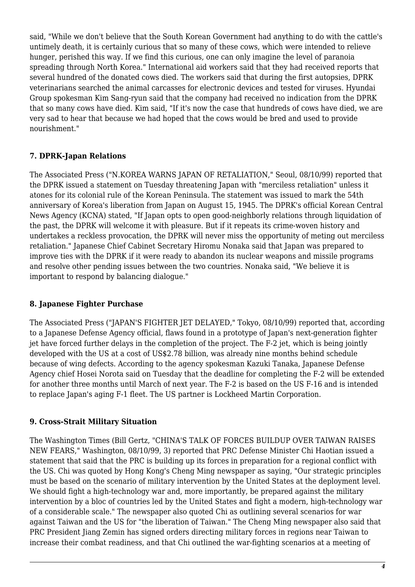said, "While we don't believe that the South Korean Government had anything to do with the cattle's untimely death, it is certainly curious that so many of these cows, which were intended to relieve hunger, perished this way. If we find this curious, one can only imagine the level of paranoia spreading through North Korea." International aid workers said that they had received reports that several hundred of the donated cows died. The workers said that during the first autopsies, DPRK veterinarians searched the animal carcasses for electronic devices and tested for viruses. Hyundai Group spokesman Kim Sang-ryun said that the company had received no indication from the DPRK that so many cows have died. Kim said, "If it's now the case that hundreds of cows have died, we are very sad to hear that because we had hoped that the cows would be bred and used to provide nourishment."

#### <span id="page-3-0"></span>**7. DPRK-Japan Relations**

The Associated Press ("N.KOREA WARNS JAPAN OF RETALIATION," Seoul, 08/10/99) reported that the DPRK issued a statement on Tuesday threatening Japan with "merciless retaliation" unless it atones for its colonial rule of the Korean Peninsula. The statement was issued to mark the 54th anniversary of Korea's liberation from Japan on August 15, 1945. The DPRK's official Korean Central News Agency (KCNA) stated, "If Japan opts to open good-neighborly relations through liquidation of the past, the DPRK will welcome it with pleasure. But if it repeats its crime-woven history and undertakes a reckless provocation, the DPRK will never miss the opportunity of meting out merciless retaliation." Japanese Chief Cabinet Secretary Hiromu Nonaka said that Japan was prepared to improve ties with the DPRK if it were ready to abandon its nuclear weapons and missile programs and resolve other pending issues between the two countries. Nonaka said, "We believe it is important to respond by balancing dialogue."

#### <span id="page-3-1"></span>**8. Japanese Fighter Purchase**

The Associated Press ("JAPAN'S FIGHTER JET DELAYED," Tokyo, 08/10/99) reported that, according to a Japanese Defense Agency official, flaws found in a prototype of Japan's next-generation fighter jet have forced further delays in the completion of the project. The F-2 jet, which is being jointly developed with the US at a cost of US\$2.78 billion, was already nine months behind schedule because of wing defects. According to the agency spokesman Kazuki Tanaka, Japanese Defense Agency chief Hosei Norota said on Tuesday that the deadline for completing the F-2 will be extended for another three months until March of next year. The F-2 is based on the US F-16 and is intended to replace Japan's aging F-1 fleet. The US partner is Lockheed Martin Corporation.

#### <span id="page-3-2"></span>**9. Cross-Strait Military Situation**

The Washington Times (Bill Gertz, "CHINA'S TALK OF FORCES BUILDUP OVER TAIWAN RAISES NEW FEARS," Washington, 08/10/99, 3) reported that PRC Defense Minister Chi Haotian issued a statement that said that the PRC is building up its forces in preparation for a regional conflict with the US. Chi was quoted by Hong Kong's Cheng Ming newspaper as saying, "Our strategic principles must be based on the scenario of military intervention by the United States at the deployment level. We should fight a high-technology war and, more importantly, be prepared against the military intervention by a bloc of countries led by the United States and fight a modern, high-technology war of a considerable scale." The newspaper also quoted Chi as outlining several scenarios for war against Taiwan and the US for "the liberation of Taiwan." The Cheng Ming newspaper also said that PRC President Jiang Zemin has signed orders directing military forces in regions near Taiwan to increase their combat readiness, and that Chi outlined the war-fighting scenarios at a meeting of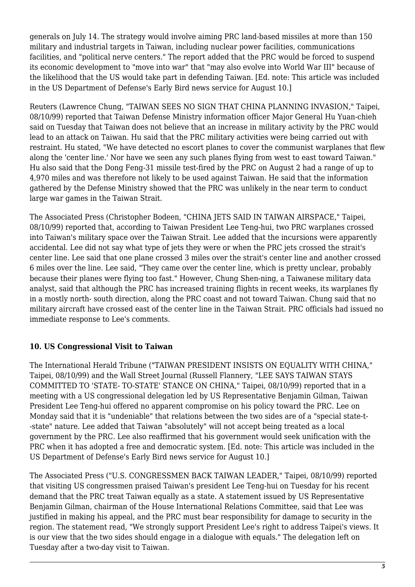generals on July 14. The strategy would involve aiming PRC land-based missiles at more than 150 military and industrial targets in Taiwan, including nuclear power facilities, communications facilities, and "political nerve centers." The report added that the PRC would be forced to suspend its economic development to "move into war" that "may also evolve into World War III" because of the likelihood that the US would take part in defending Taiwan. [Ed. note: This article was included in the US Department of Defense's Early Bird news service for August 10.]

Reuters (Lawrence Chung, "TAIWAN SEES NO SIGN THAT CHINA PLANNING INVASION," Taipei, 08/10/99) reported that Taiwan Defense Ministry information officer Major General Hu Yuan-chieh said on Tuesday that Taiwan does not believe that an increase in military activity by the PRC would lead to an attack on Taiwan. Hu said that the PRC military activities were being carried out with restraint. Hu stated, "We have detected no escort planes to cover the communist warplanes that flew along the 'center line.' Nor have we seen any such planes flying from west to east toward Taiwan." Hu also said that the Dong Feng-31 missile test-fired by the PRC on August 2 had a range of up to 4,970 miles and was therefore not likely to be used against Taiwan. He said that the information gathered by the Defense Ministry showed that the PRC was unlikely in the near term to conduct large war games in the Taiwan Strait.

The Associated Press (Christopher Bodeen, "CHINA JETS SAID IN TAIWAN AIRSPACE," Taipei, 08/10/99) reported that, according to Taiwan President Lee Teng-hui, two PRC warplanes crossed into Taiwan's military space over the Taiwan Strait. Lee added that the incursions were apparently accidental. Lee did not say what type of jets they were or when the PRC jets crossed the strait's center line. Lee said that one plane crossed 3 miles over the strait's center line and another crossed 6 miles over the line. Lee said, "They came over the center line, which is pretty unclear, probably because their planes were flying too fast." However, Chung Shen-ning, a Taiwanese military data analyst, said that although the PRC has increased training flights in recent weeks, its warplanes fly in a mostly north- south direction, along the PRC coast and not toward Taiwan. Chung said that no military aircraft have crossed east of the center line in the Taiwan Strait. PRC officials had issued no immediate response to Lee's comments.

# <span id="page-4-0"></span>**10. US Congressional Visit to Taiwan**

The International Herald Tribune ("TAIWAN PRESIDENT INSISTS ON EQUALITY WITH CHINA," Taipei, 08/10/99) and the Wall Street Journal (Russell Flannery, "LEE SAYS TAIWAN STAYS COMMITTED TO 'STATE- TO-STATE' STANCE ON CHINA," Taipei, 08/10/99) reported that in a meeting with a US congressional delegation led by US Representative Benjamin Gilman, Taiwan President Lee Teng-hui offered no apparent compromise on his policy toward the PRC. Lee on Monday said that it is "undeniable" that relations between the two sides are of a "special state-t- -state" nature. Lee added that Taiwan "absolutely" will not accept being treated as a local government by the PRC. Lee also reaffirmed that his government would seek unification with the PRC when it has adopted a free and democratic system. [Ed. note: This article was included in the US Department of Defense's Early Bird news service for August 10.]

The Associated Press ("U.S. CONGRESSMEN BACK TAIWAN LEADER," Taipei, 08/10/99) reported that visiting US congressmen praised Taiwan's president Lee Teng-hui on Tuesday for his recent demand that the PRC treat Taiwan equally as a state. A statement issued by US Representative Benjamin Gilman, chairman of the House International Relations Committee, said that Lee was justified in making his appeal, and the PRC must bear responsibility for damage to security in the region. The statement read, "We strongly support President Lee's right to address Taipei's views. It is our view that the two sides should engage in a dialogue with equals." The delegation left on Tuesday after a two-day visit to Taiwan.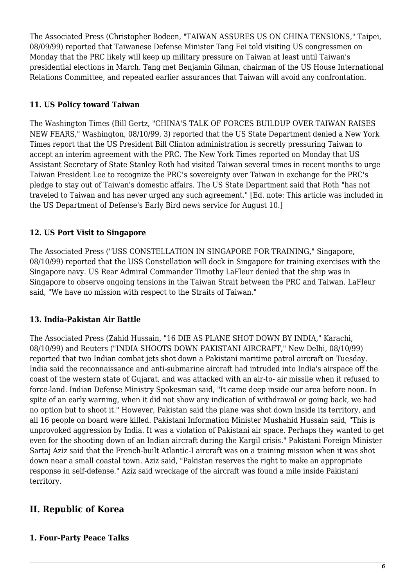The Associated Press (Christopher Bodeen, "TAIWAN ASSURES US ON CHINA TENSIONS," Taipei, 08/09/99) reported that Taiwanese Defense Minister Tang Fei told visiting US congressmen on Monday that the PRC likely will keep up military pressure on Taiwan at least until Taiwan's presidential elections in March. Tang met Benjamin Gilman, chairman of the US House International Relations Committee, and repeated earlier assurances that Taiwan will avoid any confrontation.

#### <span id="page-5-0"></span>**11. US Policy toward Taiwan**

The Washington Times (Bill Gertz, "CHINA'S TALK OF FORCES BUILDUP OVER TAIWAN RAISES NEW FEARS," Washington, 08/10/99, 3) reported that the US State Department denied a New York Times report that the US President Bill Clinton administration is secretly pressuring Taiwan to accept an interim agreement with the PRC. The New York Times reported on Monday that US Assistant Secretary of State Stanley Roth had visited Taiwan several times in recent months to urge Taiwan President Lee to recognize the PRC's sovereignty over Taiwan in exchange for the PRC's pledge to stay out of Taiwan's domestic affairs. The US State Department said that Roth "has not traveled to Taiwan and has never urged any such agreement." [Ed. note: This article was included in the US Department of Defense's Early Bird news service for August 10.]

# <span id="page-5-1"></span>**12. US Port Visit to Singapore**

The Associated Press ("USS CONSTELLATION IN SINGAPORE FOR TRAINING," Singapore, 08/10/99) reported that the USS Constellation will dock in Singapore for training exercises with the Singapore navy. US Rear Admiral Commander Timothy LaFleur denied that the ship was in Singapore to observe ongoing tensions in the Taiwan Strait between the PRC and Taiwan. LaFleur said, "We have no mission with respect to the Straits of Taiwan."

# <span id="page-5-2"></span>**13. India-Pakistan Air Battle**

The Associated Press (Zahid Hussain, "16 DIE AS PLANE SHOT DOWN BY INDIA," Karachi, 08/10/99) and Reuters ("INDIA SHOOTS DOWN PAKISTANI AIRCRAFT," New Delhi, 08/10/99) reported that two Indian combat jets shot down a Pakistani maritime patrol aircraft on Tuesday. India said the reconnaissance and anti-submarine aircraft had intruded into India's airspace off the coast of the western state of Gujarat, and was attacked with an air-to- air missile when it refused to force-land. Indian Defense Ministry Spokesman said, "It came deep inside our area before noon. In spite of an early warning, when it did not show any indication of withdrawal or going back, we had no option but to shoot it." However, Pakistan said the plane was shot down inside its territory, and all 16 people on board were killed. Pakistani Information Minister Mushahid Hussain said, "This is unprovoked aggression by India. It was a violation of Pakistani air space. Perhaps they wanted to get even for the shooting down of an Indian aircraft during the Kargil crisis." Pakistani Foreign Minister Sartaj Aziz said that the French-built Atlantic-I aircraft was on a training mission when it was shot down near a small coastal town. Aziz said, "Pakistan reserves the right to make an appropriate response in self-defense." Aziz said wreckage of the aircraft was found a mile inside Pakistani territory.

# <span id="page-5-3"></span>**II. Republic of Korea**

#### <span id="page-5-4"></span>**1. Four-Party Peace Talks**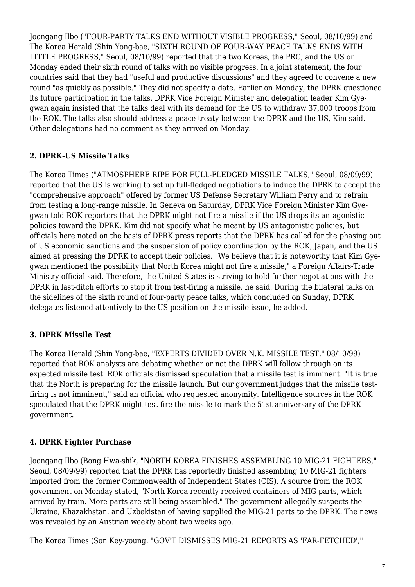Joongang Ilbo ("FOUR-PARTY TALKS END WITHOUT VISIBLE PROGRESS," Seoul, 08/10/99) and The Korea Herald (Shin Yong-bae, "SIXTH ROUND OF FOUR-WAY PEACE TALKS ENDS WITH LITTLE PROGRESS," Seoul, 08/10/99) reported that the two Koreas, the PRC, and the US on Monday ended their sixth round of talks with no visible progress. In a joint statement, the four countries said that they had "useful and productive discussions" and they agreed to convene a new round "as quickly as possible." They did not specify a date. Earlier on Monday, the DPRK questioned its future participation in the talks. DPRK Vice Foreign Minister and delegation leader Kim Gyegwan again insisted that the talks deal with its demand for the US to withdraw 37,000 troops from the ROK. The talks also should address a peace treaty between the DPRK and the US, Kim said. Other delegations had no comment as they arrived on Monday.

#### <span id="page-6-0"></span>**2. DPRK-US Missile Talks**

The Korea Times ("ATMOSPHERE RIPE FOR FULL-FLEDGED MISSILE TALKS," Seoul, 08/09/99) reported that the US is working to set up full-fledged negotiations to induce the DPRK to accept the "comprehensive approach" offered by former US Defense Secretary William Perry and to refrain from testing a long-range missile. In Geneva on Saturday, DPRK Vice Foreign Minister Kim Gyegwan told ROK reporters that the DPRK might not fire a missile if the US drops its antagonistic policies toward the DPRK. Kim did not specify what he meant by US antagonistic policies, but officials here noted on the basis of DPRK press reports that the DPRK has called for the phasing out of US economic sanctions and the suspension of policy coordination by the ROK, Japan, and the US aimed at pressing the DPRK to accept their policies. "We believe that it is noteworthy that Kim Gyegwan mentioned the possibility that North Korea might not fire a missile," a Foreign Affairs-Trade Ministry official said. Therefore, the United States is striving to hold further negotiations with the DPRK in last-ditch efforts to stop it from test-firing a missile, he said. During the bilateral talks on the sidelines of the sixth round of four-party peace talks, which concluded on Sunday, DPRK delegates listened attentively to the US position on the missile issue, he added.

# <span id="page-6-1"></span>**3. DPRK Missile Test**

The Korea Herald (Shin Yong-bae, "EXPERTS DIVIDED OVER N.K. MISSILE TEST," 08/10/99) reported that ROK analysts are debating whether or not the DPRK will follow through on its expected missile test. ROK officials dismissed speculation that a missile test is imminent. "It is true that the North is preparing for the missile launch. But our government judges that the missile testfiring is not imminent," said an official who requested anonymity. Intelligence sources in the ROK speculated that the DPRK might test-fire the missile to mark the 51st anniversary of the DPRK government.

# <span id="page-6-2"></span>**4. DPRK Fighter Purchase**

Joongang Ilbo (Bong Hwa-shik, "NORTH KOREA FINISHES ASSEMBLING 10 MIG-21 FIGHTERS," Seoul, 08/09/99) reported that the DPRK has reportedly finished assembling 10 MIG-21 fighters imported from the former Commonwealth of Independent States (CIS). A source from the ROK government on Monday stated, "North Korea recently received containers of MIG parts, which arrived by train. More parts are still being assembled." The government allegedly suspects the Ukraine, Khazakhstan, and Uzbekistan of having supplied the MIG-21 parts to the DPRK. The news was revealed by an Austrian weekly about two weeks ago.

The Korea Times (Son Key-young, "GOV'T DISMISSES MIG-21 REPORTS AS 'FAR-FETCHED',"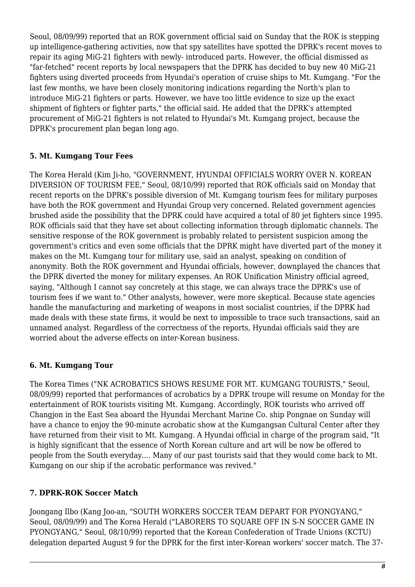Seoul, 08/09/99) reported that an ROK government official said on Sunday that the ROK is stepping up intelligence-gathering activities, now that spy satellites have spotted the DPRK's recent moves to repair its aging MiG-21 fighters with newly- introduced parts. However, the official dismissed as "far-fetched" recent reports by local newspapers that the DPRK has decided to buy new 40 MiG-21 fighters using diverted proceeds from Hyundai's operation of cruise ships to Mt. Kumgang. "For the last few months, we have been closely monitoring indications regarding the North's plan to introduce MiG-21 fighters or parts. However, we have too little evidence to size up the exact shipment of fighters or fighter parts," the official said. He added that the DPRK's attempted procurement of MiG-21 fighters is not related to Hyundai's Mt. Kumgang project, because the DPRK's procurement plan began long ago.

#### <span id="page-7-0"></span>**5. Mt. Kumgang Tour Fees**

The Korea Herald (Kim Ji-ho, "GOVERNMENT, HYUNDAI OFFICIALS WORRY OVER N. KOREAN DIVERSION OF TOURISM FEE," Seoul, 08/10/99) reported that ROK officials said on Monday that recent reports on the DPRK's possible diversion of Mt. Kumgang tourism fees for military purposes have both the ROK government and Hyundai Group very concerned. Related government agencies brushed aside the possibility that the DPRK could have acquired a total of 80 jet fighters since 1995. ROK officials said that they have set about collecting information through diplomatic channels. The sensitive response of the ROK government is probably related to persistent suspicion among the government's critics and even some officials that the DPRK might have diverted part of the money it makes on the Mt. Kumgang tour for military use, said an analyst, speaking on condition of anonymity. Both the ROK government and Hyundai officials, however, downplayed the chances that the DPRK diverted the money for military expenses. An ROK Unification Ministry official agreed, saying, "Although I cannot say concretely at this stage, we can always trace the DPRK's use of tourism fees if we want to." Other analysts, however, were more skeptical. Because state agencies handle the manufacturing and marketing of weapons in most socialist countries, if the DPRK had made deals with these state firms, it would be next to impossible to trace such transactions, said an unnamed analyst. Regardless of the correctness of the reports, Hyundai officials said they are worried about the adverse effects on inter-Korean business.

# <span id="page-7-1"></span>**6. Mt. Kumgang Tour**

The Korea Times ("NK ACROBATICS SHOWS RESUME FOR MT. KUMGANG TOURISTS," Seoul, 08/09/99) reported that performances of acrobatics by a DPRK troupe will resume on Monday for the entertainment of ROK tourists visiting Mt. Kumgang. Accordingly, ROK tourists who arrived off Changjon in the East Sea aboard the Hyundai Merchant Marine Co. ship Pongnae on Sunday will have a chance to enjoy the 90-minute acrobatic show at the Kumgangsan Cultural Center after they have returned from their visit to Mt. Kumgang. A Hyundai official in charge of the program said, "It is highly significant that the essence of North Korean culture and art will be now be offered to people from the South everyday.... Many of our past tourists said that they would come back to Mt. Kumgang on our ship if the acrobatic performance was revived."

#### <span id="page-7-2"></span>**7. DPRK-ROK Soccer Match**

Joongang Ilbo (Kang Joo-an, "SOUTH WORKERS SOCCER TEAM DEPART FOR PYONGYANG," Seoul, 08/09/99) and The Korea Herald ("LABORERS TO SQUARE OFF IN S-N SOCCER GAME IN PYONGYANG," Seoul, 08/10/99) reported that the Korean Confederation of Trade Unions (KCTU) delegation departed August 9 for the DPRK for the first inter-Korean workers' soccer match. The 37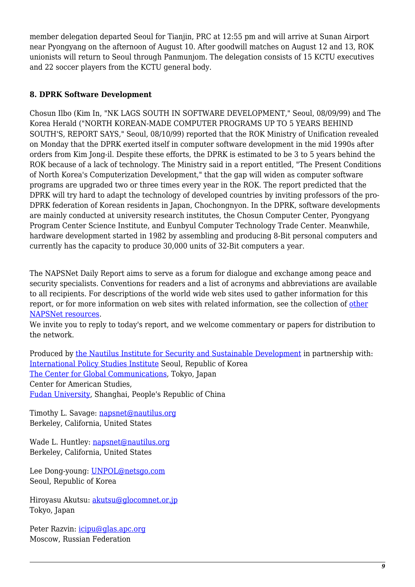member delegation departed Seoul for Tianjin, PRC at 12:55 pm and will arrive at Sunan Airport near Pyongyang on the afternoon of August 10. After goodwill matches on August 12 and 13, ROK unionists will return to Seoul through Panmunjom. The delegation consists of 15 KCTU executives and 22 soccer players from the KCTU general body.

#### <span id="page-8-0"></span>**8. DPRK Software Development**

Chosun Ilbo (Kim In, "NK LAGS SOUTH IN SOFTWARE DEVELOPMENT," Seoul, 08/09/99) and The Korea Herald ("NORTH KOREAN-MADE COMPUTER PROGRAMS UP TO 5 YEARS BEHIND SOUTH'S, REPORT SAYS," Seoul, 08/10/99) reported that the ROK Ministry of Unification revealed on Monday that the DPRK exerted itself in computer software development in the mid 1990s after orders from Kim Jong-il. Despite these efforts, the DPRK is estimated to be 3 to 5 years behind the ROK because of a lack of technology. The Ministry said in a report entitled, "The Present Conditions of North Korea's Computerization Development," that the gap will widen as computer software programs are upgraded two or three times every year in the ROK. The report predicted that the DPRK will try hard to adapt the technology of developed countries by inviting professors of the pro-DPRK federation of Korean residents in Japan, Chochongnyon. In the DPRK, software developments are mainly conducted at university research institutes, the Chosun Computer Center, Pyongyang Program Center Science Institute, and Eunbyul Computer Technology Trade Center. Meanwhile, hardware development started in 1982 by assembling and producing 8-Bit personal computers and currently has the capacity to produce 30,000 units of 32-Bit computers a year.

The NAPSNet Daily Report aims to serve as a forum for dialogue and exchange among peace and security specialists. Conventions for readers and a list of acronyms and abbreviations are available to all recipients. For descriptions of the world wide web sites used to gather information for this report, or for more information on web sites with related information, see the collection of [other](http://www.nautilus.org/kiosk/weblinks.html) [NAPSNet resources.](http://www.nautilus.org/kiosk/weblinks.html)

We invite you to reply to today's report, and we welcome commentary or papers for distribution to the network.

Produced by [the Nautilus Institute for Security and Sustainable Development](http://www.nautilus.org/morenaut.html) in partnership with: [International Policy Studies Institute](http://www.IPSI.org/) Seoul, Republic of Korea [The Center for Global Communications](http://aska.glocom.ac.jp/default.html), Tokyo, Japan Center for American Studies, [Fudan University](http://www.fudan.edu.cn/English/nsindex.html), Shanghai, People's Republic of China

Timothy L. Savage: [napsnet@nautilus.org](mailto:napsnet@nautilus.org) Berkeley, California, United States

Wade L. Huntley: [napsnet@nautilus.org](mailto:napsnet@nautilus.org) Berkeley, California, United States

Lee Dong-young: [UNPOL@netsgo.com](mailto:UNPOL@netsgo.com) Seoul, Republic of Korea

Hiroyasu Akutsu: [akutsu@glocomnet.or.jp](mailto:akutsu@glocomnet.or.jp) Tokyo, Japan

Peter Razvin: [icipu@glas.apc.org](mailto:icipu@glas.apc.org) Moscow, Russian Federation